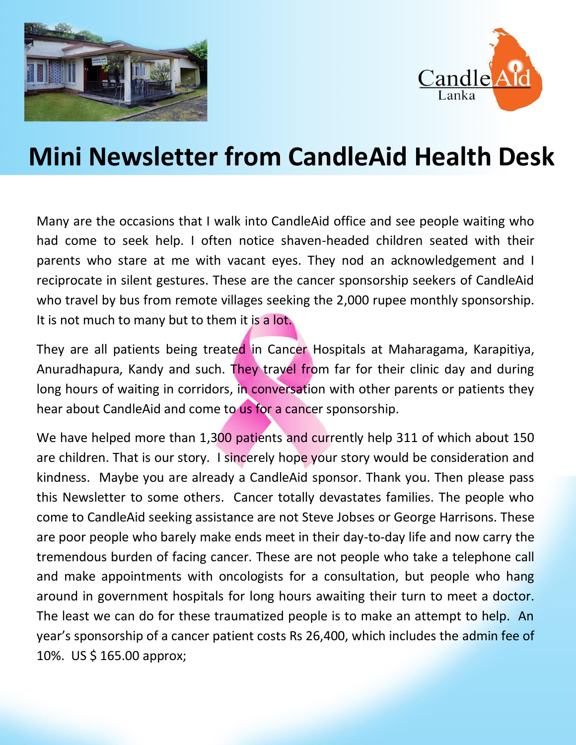



# **Mini Newsletter from CandleAid Health Desk**

Many are the occasions that I walk into CandleAid office and see people waiting who had come to seek help. I often notice shaven-headed children seated with their parents who stare at me with vacant eyes. They nod an acknowledgement and I reciprocate in silent gestures. These are the cancer sponsorship seekers of CandleAid who travel by bus from remote villages seeking the 2,000 rupee monthly sponsorship. It is not much to many but to them it is a lot.

They are all patients being treated in Cancer Hospitals at Maharagama, Karapitiya, Anuradhapura, Kandy and such. They travel from far for their clinic day and during long hours of waiting in corridors, in conversation with other parents or patients they hear about CandleAid and come to us for a cancer sponsorship.

We have helped more than 1,300 patients and currently help 311 of which about 150 are children. That is our story. I sincerely hope your story would be consideration and kindness. Maybe you are already a CandleAid sponsor. Thank you. Then please pass this Newsletter to some others. Cancer totally devastates families. The people who come to CandleAid seeking assistance are not Steve Jobses or George Harrisons. These are poor people who barely make ends meet in their day-to-day life and now carry the tremendous burden of facing cancer. These are not people who take a telephone call and make appointments with oncologists for a consultation, but people who hang around in government hospitals for long hours awaiting their turn to meet a doctor. The least we can do for these traumatized people is to make an attempt to help. An year's sponsorship of a cancer patient costs Rs 26,400, which includes the admin fee of 10%. US \$ 165.00 approx;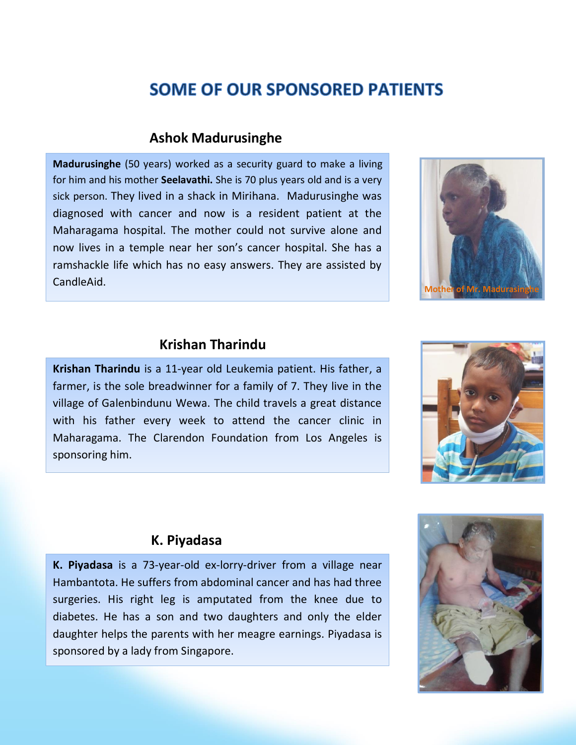## **SOME OF OUR SPONSORED PATIENTS**

#### **Ashok Madurusinghe**

**Madurusinghe** (50 years) worked as a security guard to make a living for him and his mother **Seelavathi.** She is 70 plus years old and is a very sick person. They lived in a shack in Mirihana. Madurusinghe was diagnosed with cancer and now is a resident patient at the Maharagama hospital. The mother could not survive alone and now lives in a temple near her son's cancer hospital. She has a ramshackle life which has no easy answers. They are assisted by CandleAid.



### **Krishan Tharindu**

**Krishan Tharindu** is a 11-year old Leukemia patient. His father, a farmer, is the sole breadwinner for a family of 7. They live in the village of Galenbindunu Wewa. The child travels a great distance with his father every week to attend the cancer clinic in Maharagama. The Clarendon Foundation from Los Angeles is sponsoring him.



#### **K. Piyadasa**

**K. Piyadasa** is a 73-year-old ex-lorry-driver from a village near Hambantota. He suffers from abdominal cancer and has had three surgeries. His right leg is amputated from the knee due to diabetes. He has a son and two daughters and only the elder daughter helps the parents with her meagre earnings. Piyadasa is sponsored by a lady from Singapore.

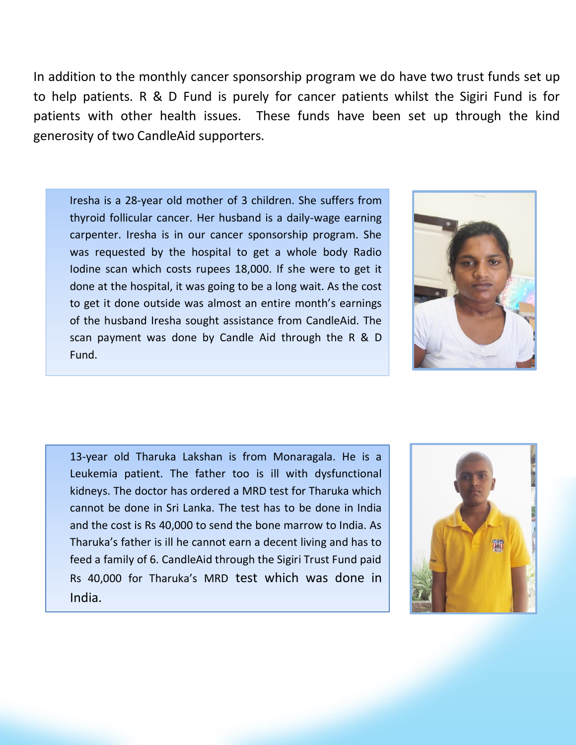In addition to the monthly cancer sponsorship program we do have two trust funds set up to help patients. R & D Fund is purely for cancer patients whilst the Sigiri Fund is for patients with other health issues. These funds have been set up through the kind generosity of two CandleAid supporters.

Iresha is a 28-year old mother of 3 children. She suffers from thyroid follicular cancer. Her husband is a daily-wage earning carpenter. Iresha is in our cancer sponsorship program. She was requested by the hospital to get a whole body Radio Iodine scan which costs rupees 18,000. If she were to get it done at the hospital, it was going to be a long wait. As the cost to get it done outside was almost an entire month's earnings of the husband Iresha sought assistance from CandleAid. The scan payment was done by Candle Aid through the R & D Fund.



13-year old Tharuka Lakshan is from Monaragala. He is a Leukemia patient. The father too is ill with dysfunctional kidneys. The doctor has ordered a MRD test for Tharuka which cannot be done in Sri Lanka. The test has to be done in India and the cost is Rs 40,000 to send the bone marrow to India. As Tharuka's father is ill he cannot earn a decent living and has to feed a family of 6. CandleAid through the Sigiri Trust Fund paid Rs 40,000 for Tharuka's MRD test which was done in India.